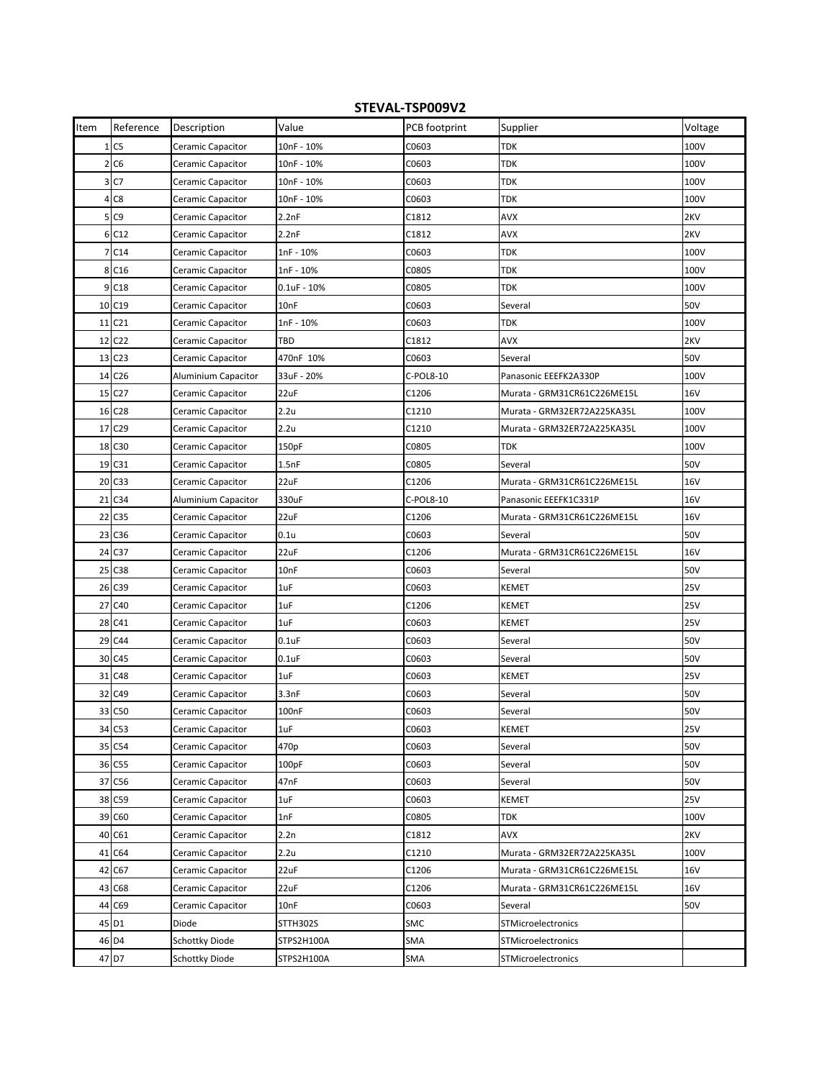## **STEVAL‐TSP009V2**

| Item | Reference          | Description         | Value             | PCB footprint | Supplier                    | Voltage    |
|------|--------------------|---------------------|-------------------|---------------|-----------------------------|------------|
|      | 1 <sub>C5</sub>    | Ceramic Capacitor   | 10nF - 10%        | C0603         | <b>TDK</b>                  | 100V       |
|      | 2 <sub>C6</sub>    | Ceramic Capacitor   | 10nF - 10%        | C0603         | TDK                         | 100V       |
|      | 3 C7               | Ceramic Capacitor   | 10nF - 10%        | C0603         | TDK                         | 100V       |
| 4    | C8                 | Ceramic Capacitor   | 10nF - 10%        | C0603         | TDK                         | 100V       |
| 5    | C <sub>9</sub>     | Ceramic Capacitor   | 2.2nF             | C1812         | AVX                         | 2KV        |
|      | 6 C12              | Ceramic Capacitor   | 2.2nF             | C1812         | AVX                         | 2KV        |
| 7    | C14                | Ceramic Capacitor   | 1nF - 10%         | C0603         | TDK                         | 100V       |
|      | 8 C16              | Ceramic Capacitor   | 1nF - 10%         | C0805         | <b>TDK</b>                  | 100V       |
|      | 9 C <sub>18</sub>  | Ceramic Capacitor   | $0.1$ uF - $10%$  | C0805         | <b>TDK</b>                  | 100V       |
|      | 10 C19             | Ceramic Capacitor   | 10nF              | C0603         | Several                     | 50V        |
| 11   | C <sub>21</sub>    | Ceramic Capacitor   | 1nF - 10%         | C0603         | <b>TDK</b>                  | 100V       |
| 12   | C <sub>22</sub>    | Ceramic Capacitor   | TBD               | C1812         | AVX                         | 2KV        |
|      | 13 C <sub>23</sub> | Ceramic Capacitor   | 470nF 10%         | C0603         | Several                     | 50V        |
|      | 14 C <sub>26</sub> | Aluminium Capacitor | 33uF - 20%        | C-POL8-10     | Panasonic EEEFK2A330P       | 100V       |
| 15   | C <sub>27</sub>    | Ceramic Capacitor   | 22uF              | C1206         | Murata - GRM31CR61C226ME15L | 16V        |
|      | 16 C <sub>28</sub> | Ceramic Capacitor   | 2.2u              | C1210         | Murata - GRM32ER72A225KA35L | 100V       |
| 17   | C <sub>29</sub>    | Ceramic Capacitor   | 2.2u              | C1210         | Murata - GRM32ER72A225KA35L | 100V       |
| 18   | C30                | Ceramic Capacitor   | 150pF             | C0805         | <b>TDK</b>                  | 100V       |
|      | 19 C31             | Ceramic Capacitor   | 1.5nF             | C0805         | Several                     | 50V        |
|      | 20 C33             | Ceramic Capacitor   | 22uF              | C1206         | Murata - GRM31CR61C226ME15L | 16V        |
| 21   | C <sub>34</sub>    | Aluminium Capacitor | 330uF             | C-POL8-10     | Panasonic EEEFK1C331P       | 16V        |
| 22   | C <sub>35</sub>    | Ceramic Capacitor   | 22uF              | C1206         | Murata - GRM31CR61C226ME15L | 16V        |
| 23   | C36                | Ceramic Capacitor   | 0.1u              | C0603         | Several                     | 50V        |
| 24   | C <sub>37</sub>    | Ceramic Capacitor   | 22uF              | C1206         | Murata - GRM31CR61C226ME15L | 16V        |
| 25   | C38                | Ceramic Capacitor   | 10nF              | C0603         | Several                     | 50V        |
|      | 26 C39             | Ceramic Capacitor   | 1uF               | C0603         | <b>KEMET</b>                | 25V        |
| 27   | C40                | Ceramic Capacitor   | 1uF               | C1206         | KEMET                       | <b>25V</b> |
|      | 28 C41             | Ceramic Capacitor   | 1uF               | C0603         | KEMET                       | <b>25V</b> |
|      | 29 C44             | Ceramic Capacitor   | $0.1$ uF          | C0603         | Several                     | 50V        |
| 30   | C45                | Ceramic Capacitor   | $0.1$ uF          | C0603         | Several                     | 50V        |
| 31   | C48                | Ceramic Capacitor   | 1uF               | C0603         | <b>KEMET</b>                | <b>25V</b> |
| 32   | C49                | Ceramic Capacitor   | 3.3nF             | C0603         | Several                     | 50V        |
| 33   | C50                | Ceramic Capacitor   | 100 <sub>nF</sub> | C0603         | Several                     | 50V        |
|      | 34 <sub>IC53</sub> | Ceramic Capacitor   | 1uF               | C0603         | KEMET                       | 25V        |
|      | 35 C54             | Ceramic Capacitor   | 470p              | C0603         | Several                     | 50V        |
|      | 36 C55             | Ceramic Capacitor   | 100pF             | C0603         | Several                     | 50V        |
| 37   | C56                | Ceramic Capacitor   | 47nF              | C0603         | Several                     | 50V        |
|      | 38 C59             | Ceramic Capacitor   | 1uF               | C0603         | <b>KEMET</b>                | <b>25V</b> |
|      | 39 C60             | Ceramic Capacitor   | 1nF               | C0805         | <b>TDK</b>                  | 100V       |
|      | 40 C61             | Ceramic Capacitor   | 2.2n              | C1812         | <b>AVX</b>                  | 2KV        |
|      | 41 C64             | Ceramic Capacitor   | 2.2u              | C1210         | Murata - GRM32ER72A225KA35L | 100V       |
|      | 42 C67             | Ceramic Capacitor   | 22uF              | C1206         | Murata - GRM31CR61C226ME15L | 16V        |
| 43   | C68                | Ceramic Capacitor   | 22uF              | C1206         | Murata - GRM31CR61C226ME15L | <b>16V</b> |
|      | 44 C69             | Ceramic Capacitor   | 10nF              | C0603         | Several                     | 50V        |
|      | 45 D1              | Diode               | STTH302S          | SMC           | STMicroelectronics          |            |
|      | 46 D4              | Schottky Diode      | STPS2H100A        | SMA           | STMicroelectronics          |            |
|      | 47 D7              | Schottky Diode      | STPS2H100A        | SMA           | STMicroelectronics          |            |
|      |                    |                     |                   |               |                             |            |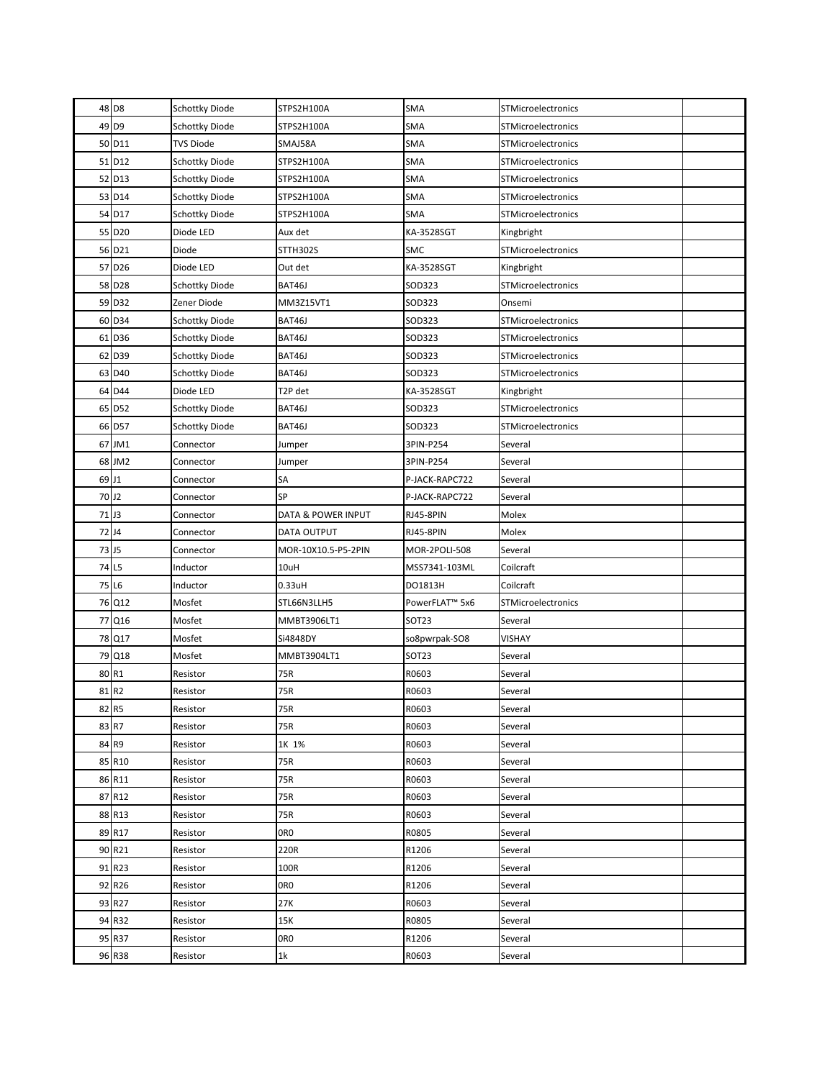|                   | 48 D8              | Schottky Diode        | STPS2H100A          | SMA                        | STMicroelectronics        |  |
|-------------------|--------------------|-----------------------|---------------------|----------------------------|---------------------------|--|
|                   | 49 D9              | <b>Schottky Diode</b> | STPS2H100A          | <b>SMA</b>                 | STMicroelectronics        |  |
|                   | 50 D11             | <b>TVS Diode</b>      | SMAJ58A             | <b>SMA</b>                 | STMicroelectronics        |  |
|                   | 51 D12             | Schottky Diode        | STPS2H100A          | <b>SMA</b>                 | STMicroelectronics        |  |
|                   | 52 D13             | Schottky Diode        | STPS2H100A          | SMA                        | <b>STMicroelectronics</b> |  |
|                   | 53 D14             | Schottky Diode        | STPS2H100A          | <b>SMA</b>                 | STMicroelectronics        |  |
|                   | 54 D17             | Schottky Diode        | STPS2H100A          | <b>SMA</b>                 | <b>STMicroelectronics</b> |  |
|                   | 55 D20             | Diode LED             | Aux det             | KA-3528SGT                 | Kingbright                |  |
|                   | 56 D21             | Diode                 | STTH302S            | <b>SMC</b>                 | <b>STMicroelectronics</b> |  |
|                   | 57 D <sub>26</sub> | Diode LED             | Out det             | KA-3528SGT                 | Kingbright                |  |
|                   | 58 D28             | Schottky Diode        | BAT46J              | SOD323                     | STMicroelectronics        |  |
|                   | 59 D32             | Zener Diode           | MM3Z15VT1           | SOD323                     | Onsemi                    |  |
|                   | 60 D34             | Schottky Diode        | BAT46J              | SOD323                     | STMicroelectronics        |  |
|                   | 61 D36             | Schottky Diode        | BAT46J              | SOD323                     | STMicroelectronics        |  |
|                   | 62 D39             | Schottky Diode        | BAT46J              | SOD323                     | STMicroelectronics        |  |
|                   | 63 D40             | Schottky Diode        | BAT46J              | SOD323                     | STMicroelectronics        |  |
|                   | 64 D44             | Diode LED             | T2P det             | KA-3528SGT                 | Kingbright                |  |
|                   | 65 D52             | Schottky Diode        | BAT46J              | SOD323                     | STMicroelectronics        |  |
|                   | 66 D57             | Schottky Diode        | BAT46J              | SOD323                     | STMicroelectronics        |  |
|                   | 67 JM1             | Connector             | Jumper              | 3PIN-P254                  | Several                   |  |
|                   | 68 JM2             | Connector             | Jumper              | 3PIN-P254                  | Several                   |  |
|                   | 69 J1              | Connector             | SА                  | P-JACK-RAPC722             | Several                   |  |
| 70 J <sub>2</sub> |                    | Connector             | SP                  | P-JACK-RAPC722             | Several                   |  |
|                   | 71J3               | Connector             | DATA & POWER INPUT  | RJ45-8PIN                  | Molex                     |  |
| 72J4              |                    | Connector             | DATA OUTPUT         | RJ45-8PIN                  | Molex                     |  |
|                   | 73 J <sub>5</sub>  | Connector             | MOR-10X10.5-P5-2PIN | MOR-2POLI-508              | Several                   |  |
|                   | 74 L5              | Inductor              | 10uH                | MSS7341-103ML              | Coilcraft                 |  |
|                   | 75 L6              | Inductor              | $0.33$ uH           | DO1813H                    | Coilcraft                 |  |
|                   | 76 Q12             | Mosfet                | STL66N3LLH5         | PowerFLAT <sup>™</sup> 5x6 | STMicroelectronics        |  |
|                   | 77 Q16             | Mosfet                | MMBT3906LT1         | SOT23                      | Several                   |  |
|                   | 78 Q17             | Mosfet                | Si4848DY            | so8pwrpak-SO8              | VISHAY                    |  |
|                   | 79 Q18             | Mosfet                | MMBT3904LT1         | SOT <sub>23</sub>          | Several                   |  |
|                   | 80 R1              | Resistor              | 75R                 | R0603                      | Several                   |  |
|                   | 81R2               | Resistor              | 75R                 | R0603                      | Several                   |  |
|                   | 82 R5              | Resistor              | 75R                 | R0603                      | Several                   |  |
|                   | 83 R7              | Resistor              | 75R                 | R0603                      | Several                   |  |
|                   | 84 R9              | Resistor              | 1K 1%               | R0603                      | Several                   |  |
|                   | 85 R10             | Resistor              | 75R                 | R0603                      | Several                   |  |
|                   | 86 R11             | Resistor              | 75R                 | R0603                      | Several                   |  |
|                   | 87 R12             | Resistor              | 75R                 | R0603                      | Several                   |  |
|                   | 88 R13             | Resistor              | 75R                 | R0603                      | Several                   |  |
|                   | 89 R17             | Resistor              | 0RO                 | R0805                      | Several                   |  |
|                   | 90 R21             | Resistor              | 220R                | R1206                      | Several                   |  |
|                   | 91 R23             | Resistor              | 100R                | R1206                      | Several                   |  |
|                   | 92 R26             | Resistor              | 0RO                 | R1206                      | Several                   |  |
|                   | 93 R27             | Resistor              | 27K                 | R0603                      | Several                   |  |
|                   | 94 R32             | Resistor              | 15K                 | R0805                      | Several                   |  |
|                   | 95 R37             | Resistor              | 0R <sub>0</sub>     | R1206                      | Several                   |  |
|                   | 96 R38             | Resistor              | 1k                  | R0603                      | Several                   |  |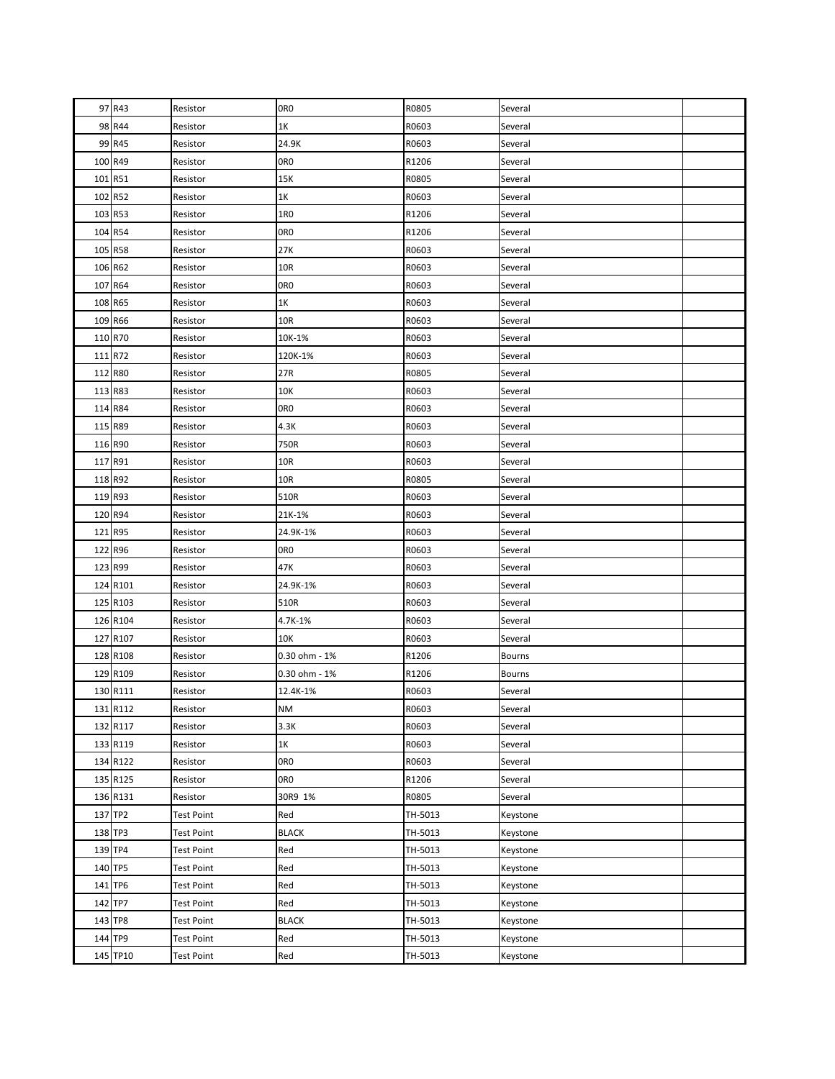| 97 R43   | Resistor          | OR <sub>0</sub> | R0805   | Several       |  |
|----------|-------------------|-----------------|---------|---------------|--|
| 98 R44   | Resistor          | 1K              | R0603   | Several       |  |
| 99 R45   | Resistor          | 24.9K           | R0603   | Several       |  |
| 100 R49  | Resistor          | OR <sub>0</sub> | R1206   | Several       |  |
| 101 R51  | Resistor          | 15K             | R0805   | Several       |  |
| 102 R52  | Resistor          | 1K              | R0603   | Several       |  |
| 103 R53  | Resistor          | 1R0             | R1206   | Several       |  |
| 104 R54  | Resistor          | 0R <sub>0</sub> | R1206   | Several       |  |
| 105 R58  | Resistor          | 27K             | R0603   | Several       |  |
| 106 R62  | Resistor          | 10R             | R0603   | Several       |  |
| 107 R64  | Resistor          | 0R <sub>0</sub> | R0603   | Several       |  |
| 108 R65  | Resistor          | 1K              | R0603   | Several       |  |
| 109 R66  | Resistor          | 10R             | R0603   | Several       |  |
| 110 R70  | Resistor          | 10K-1%          | R0603   | Several       |  |
| 111 R72  | Resistor          | 120K-1%         | R0603   | Several       |  |
| 112 R80  | Resistor          | 27R             | R0805   | Several       |  |
| 113 R83  | Resistor          | 10K             | R0603   | Several       |  |
| 114 R84  | Resistor          | 0R <sub>0</sub> | R0603   | Several       |  |
| 115 R89  | Resistor          | 4.3K            | R0603   | Several       |  |
| 116 R90  | Resistor          | 750R            | R0603   | Several       |  |
| 117 R91  | Resistor          | 10R             | R0603   | Several       |  |
| 118 R92  | Resistor          | 10R             | R0805   | Several       |  |
| 119 R93  | Resistor          | 510R            | R0603   | Several       |  |
| 120 R94  | Resistor          | 21K-1%          | R0603   | Several       |  |
| 121 R95  | Resistor          | 24.9K-1%        | R0603   | Several       |  |
| 122 R96  | Resistor          | 0R <sub>0</sub> | R0603   | Several       |  |
| 123 R99  | Resistor          | 47K             | R0603   | Several       |  |
| 124 R101 | Resistor          | 24.9K-1%        | R0603   | Several       |  |
| 125 R103 | Resistor          | 510R            | R0603   | Several       |  |
| 126 R104 | Resistor          | 4.7K-1%         | R0603   | Several       |  |
| 127 R107 | Resistor          | 10K             | R0603   | Several       |  |
| 128 R108 | Resistor          | 0.30 ohm - 1%   | R1206   | <b>Bourns</b> |  |
| 129 R109 | Resistor          | 0.30 ohm - 1%   | R1206   | <b>Bourns</b> |  |
| 130 R111 | Resistor          | 12.4K-1%        | R0603   | Several       |  |
| 131 R112 | Resistor          | <b>NM</b>       | R0603   | Several       |  |
| 132 R117 | Resistor          | 3.3K            | R0603   | Several       |  |
| 133 R119 | Resistor          | 1K              | R0603   | Several       |  |
| 134 R122 | Resistor          | 0R <sub>0</sub> | R0603   | Several       |  |
| 135 R125 | Resistor          | 0R <sub>0</sub> | R1206   | Several       |  |
| 136 R131 | Resistor          | 30R9 1%         | R0805   | Several       |  |
| 137 TP2  | <b>Test Point</b> | Red             | TH-5013 | Keystone      |  |
| 138 TP3  | Test Point        | <b>BLACK</b>    | TH-5013 | Keystone      |  |
| 139 TP4  | <b>Test Point</b> | Red             | TH-5013 | Keystone      |  |
| 140 TP5  | <b>Test Point</b> | Red             | TH-5013 | Keystone      |  |
| 141 TP6  | Test Point        | Red             | TH-5013 | Keystone      |  |
| 142 TP7  | <b>Test Point</b> | Red             | TH-5013 | Keystone      |  |
| 143 TP8  | <b>Test Point</b> | <b>BLACK</b>    | TH-5013 | Keystone      |  |
| 144 TP9  | Test Point        | Red             | TH-5013 | Keystone      |  |
| 145 TP10 | <b>Test Point</b> | Red             | TH-5013 | Keystone      |  |